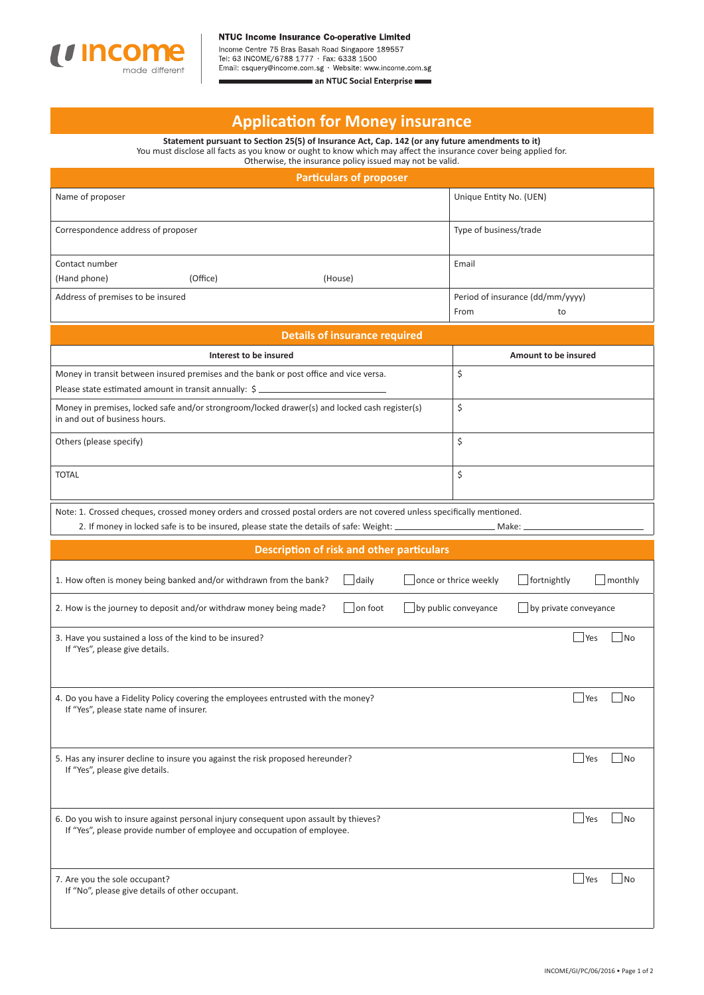

Income Centre 75 Bras Basah Road Singapore 189557<br>Tel: 63 INCOME/6788 1777 · Fax: 6338 1500<br>Email: csquery@income.com.sg · Website: www.income.com.sg

an NTUC Social Enterprise

## **Applicati on for Money insurance**

**Statement pursuant to Secti on 25(5) of Insurance Act, Cap. 142 (or any future amendments to it)** You must disclose all facts as you know or ought to know which may affect the insurance cover being applied for.

| Otherwise, the insurance policy issued may not be valid.                                                                                                                                                                       |                                                 |  |  |  |
|--------------------------------------------------------------------------------------------------------------------------------------------------------------------------------------------------------------------------------|-------------------------------------------------|--|--|--|
| <b>Particulars of proposer</b>                                                                                                                                                                                                 |                                                 |  |  |  |
| Name of proposer                                                                                                                                                                                                               | Unique Entity No. (UEN)                         |  |  |  |
| Correspondence address of proposer                                                                                                                                                                                             | Type of business/trade                          |  |  |  |
| Contact number<br>(Hand phone)<br>(Office)<br>(House)                                                                                                                                                                          | Email                                           |  |  |  |
| Address of premises to be insured                                                                                                                                                                                              | Period of insurance (dd/mm/yyyy)                |  |  |  |
|                                                                                                                                                                                                                                | From<br>to                                      |  |  |  |
| <b>Details of insurance required</b>                                                                                                                                                                                           |                                                 |  |  |  |
| Interest to be insured                                                                                                                                                                                                         | Amount to be insured                            |  |  |  |
| \$<br>Money in transit between insured premises and the bank or post office and vice versa.<br>Please state estimated amount in transit annually: \$                                                                           |                                                 |  |  |  |
| Money in premises, locked safe and/or strongroom/locked drawer(s) and locked cash register(s)<br>in and out of business hours.                                                                                                 | \$                                              |  |  |  |
| Others (please specify)                                                                                                                                                                                                        | \$                                              |  |  |  |
| <b>TOTAL</b>                                                                                                                                                                                                                   | \$                                              |  |  |  |
| Note: 1. Crossed cheques, crossed money orders and crossed postal orders are not covered unless specifically mentioned.<br>2. If money in locked safe is to be insured, please state the details of safe: Weight: _<br>Make: _ |                                                 |  |  |  |
| <b>Description of risk and other particulars</b>                                                                                                                                                                               |                                                 |  |  |  |
| 1. How often is money being banked and/or withdrawn from the bank?<br>daily                                                                                                                                                    | fortnightly<br>monthly<br>once or thrice weekly |  |  |  |
| on foot<br>2. How is the journey to deposit and/or withdraw money being made?                                                                                                                                                  | by public conveyance<br>by private conveyance   |  |  |  |
| 3. Have you sustained a loss of the kind to be insured?<br>If "Yes", please give details.                                                                                                                                      | Yes<br>No.                                      |  |  |  |
| 4. Do you have a Fidelity Policy covering the employees entrusted with the money?<br>If "Yes", please state name of insurer.                                                                                                   | No<br>Yes                                       |  |  |  |
| 5. Has any insurer decline to insure you against the risk proposed hereunder?<br>If "Yes", please give details.                                                                                                                | $\exists$ Yes<br>No.                            |  |  |  |
| 6. Do you wish to insure against personal injury consequent upon assault by thieves?<br>If "Yes", please provide number of employee and occupation of employee.                                                                | $\perp$ Yes<br>No                               |  |  |  |
| 7. Are you the sole occupant?<br>If "No", please give details of other occupant.                                                                                                                                               | $\blacksquare$ Yes<br>  No                      |  |  |  |